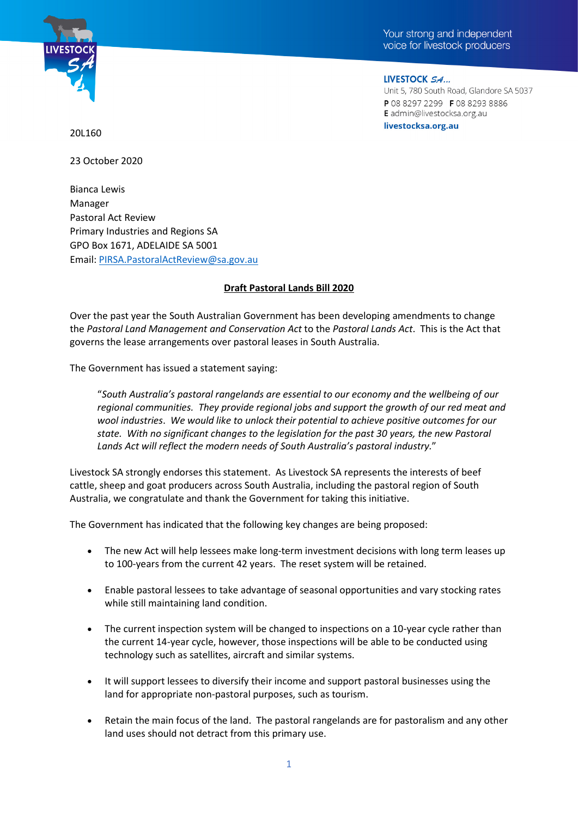



LIVESTOCK SA...

Unit 5, 780 South Road, Glandore SA 5037 P0882972299 F0882938886 E admin@livestocksa.org.au livestocksa.org.au

20L160

23 October 2020

Bianca Lewis Manager Pastoral Act Review Primary Industries and Regions SA GPO Box 1671, ADELAIDE SA 5001 Email: [PIRSA.PastoralActReview@sa.gov.au](mailto:PIRSA.PastoralActReview@sa.gov.au)

## **Draft Pastoral Lands Bill 2020**

Over the past year the South Australian Government has been developing amendments to change the *Pastoral Land Management and Conservation Act* to the *Pastoral Lands Act*. This is the Act that governs the lease arrangements over pastoral leases in South Australia.

The Government has issued a statement saying:

"*South Australia's pastoral rangelands are essential to our economy and the wellbeing of our regional communities. They provide regional jobs and support the growth of our red meat and wool industries*. *We would like to unlock their potential to achieve positive outcomes for our state. With no significant changes to the legislation for the past 30 years, the new Pastoral Lands Act will reflect the modern needs of South Australia's pastoral industry.*"

Livestock SA strongly endorses this statement. As Livestock SA represents the interests of beef cattle, sheep and goat producers across South Australia, including the pastoral region of South Australia, we congratulate and thank the Government for taking this initiative.

The Government has indicated that the following key changes are being proposed:

- The new Act will help lessees make long-term investment decisions with long term leases up to 100-years from the current 42 years. The reset system will be retained.
- Enable pastoral lessees to take advantage of seasonal opportunities and vary stocking rates while still maintaining land condition.
- The current inspection system will be changed to inspections on a 10-year cycle rather than the current 14-year cycle, however, those inspections will be able to be conducted using technology such as satellites, aircraft and similar systems.
- It will support lessees to diversify their income and support pastoral businesses using the land for appropriate non-pastoral purposes, such as tourism.
- Retain the main focus of the land. The pastoral rangelands are for pastoralism and any other land uses should not detract from this primary use.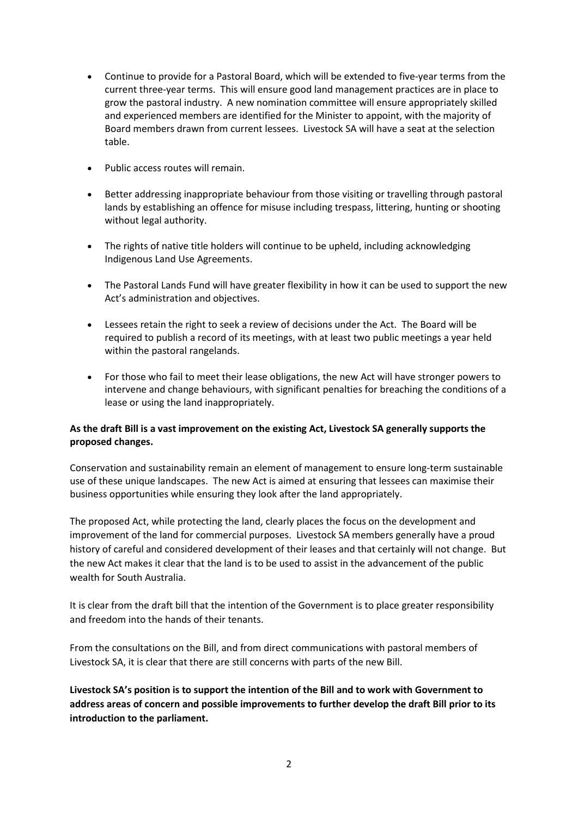- Continue to provide for a Pastoral Board, which will be extended to five-year terms from the current three-year terms. This will ensure good land management practices are in place to grow the pastoral industry. A new nomination committee will ensure appropriately skilled and experienced members are identified for the Minister to appoint, with the majority of Board members drawn from current lessees. Livestock SA will have a seat at the selection table.
- Public access routes will remain.
- Better addressing inappropriate behaviour from those visiting or travelling through pastoral lands by establishing an offence for misuse including trespass, littering, hunting or shooting without legal authority.
- The rights of native title holders will continue to be upheld, including acknowledging Indigenous Land Use Agreements.
- The Pastoral Lands Fund will have greater flexibility in how it can be used to support the new Act's administration and objectives.
- Lessees retain the right to seek a review of decisions under the Act. The Board will be required to publish a record of its meetings, with at least two public meetings a year held within the pastoral rangelands.
- For those who fail to meet their lease obligations, the new Act will have stronger powers to intervene and change behaviours, with significant penalties for breaching the conditions of a lease or using the land inappropriately.

## **As the draft Bill is a vast improvement on the existing Act, Livestock SA generally supports the proposed changes.**

Conservation and sustainability remain an element of management to ensure long-term sustainable use of these unique landscapes. The new Act is aimed at ensuring that lessees can maximise their business opportunities while ensuring they look after the land appropriately.

The proposed Act, while protecting the land, clearly places the focus on the development and improvement of the land for commercial purposes. Livestock SA members generally have a proud history of careful and considered development of their leases and that certainly will not change. But the new Act makes it clear that the land is to be used to assist in the advancement of the public wealth for South Australia.

It is clear from the draft bill that the intention of the Government is to place greater responsibility and freedom into the hands of their tenants.

From the consultations on the Bill, and from direct communications with pastoral members of Livestock SA, it is clear that there are still concerns with parts of the new Bill.

**Livestock SA's position is to support the intention of the Bill and to work with Government to address areas of concern and possible improvements to further develop the draft Bill prior to its introduction to the parliament.**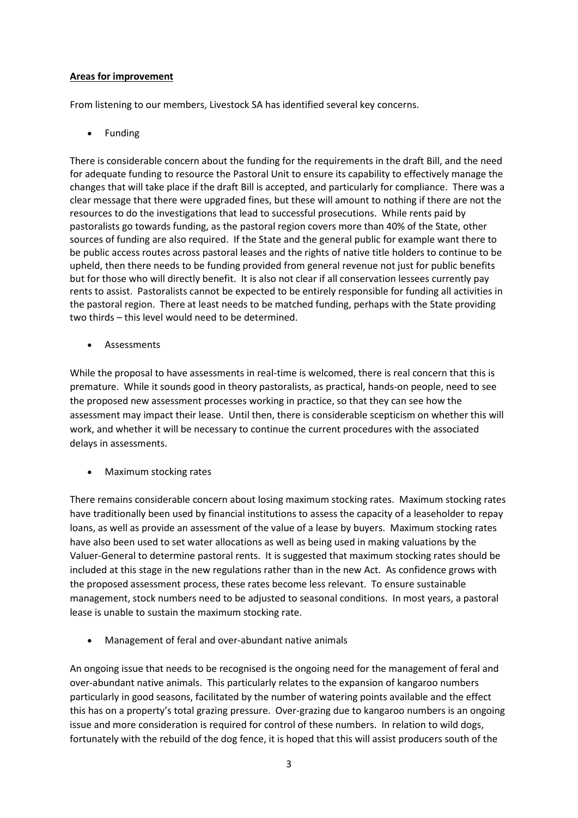## **Areas for improvement**

From listening to our members, Livestock SA has identified several key concerns.

**Funding** 

There is considerable concern about the funding for the requirements in the draft Bill, and the need for adequate funding to resource the Pastoral Unit to ensure its capability to effectively manage the changes that will take place if the draft Bill is accepted, and particularly for compliance. There was a clear message that there were upgraded fines, but these will amount to nothing if there are not the resources to do the investigations that lead to successful prosecutions. While rents paid by pastoralists go towards funding, as the pastoral region covers more than 40% of the State, other sources of funding are also required. If the State and the general public for example want there to be public access routes across pastoral leases and the rights of native title holders to continue to be upheld, then there needs to be funding provided from general revenue not just for public benefits but for those who will directly benefit. It is also not clear if all conservation lessees currently pay rents to assist. Pastoralists cannot be expected to be entirely responsible for funding all activities in the pastoral region. There at least needs to be matched funding, perhaps with the State providing two thirds – this level would need to be determined.

**Assessments** 

While the proposal to have assessments in real-time is welcomed, there is real concern that this is premature. While it sounds good in theory pastoralists, as practical, hands-on people, need to see the proposed new assessment processes working in practice, so that they can see how the assessment may impact their lease. Until then, there is considerable scepticism on whether this will work, and whether it will be necessary to continue the current procedures with the associated delays in assessments.

• Maximum stocking rates

There remains considerable concern about losing maximum stocking rates. Maximum stocking rates have traditionally been used by financial institutions to assess the capacity of a leaseholder to repay loans, as well as provide an assessment of the value of a lease by buyers. Maximum stocking rates have also been used to set water allocations as well as being used in making valuations by the Valuer-General to determine pastoral rents. It is suggested that maximum stocking rates should be included at this stage in the new regulations rather than in the new Act. As confidence grows with the proposed assessment process, these rates become less relevant. To ensure sustainable management, stock numbers need to be adjusted to seasonal conditions. In most years, a pastoral lease is unable to sustain the maximum stocking rate.

• Management of feral and over-abundant native animals

An ongoing issue that needs to be recognised is the ongoing need for the management of feral and over-abundant native animals. This particularly relates to the expansion of kangaroo numbers particularly in good seasons, facilitated by the number of watering points available and the effect this has on a property's total grazing pressure. Over-grazing due to kangaroo numbers is an ongoing issue and more consideration is required for control of these numbers. In relation to wild dogs, fortunately with the rebuild of the dog fence, it is hoped that this will assist producers south of the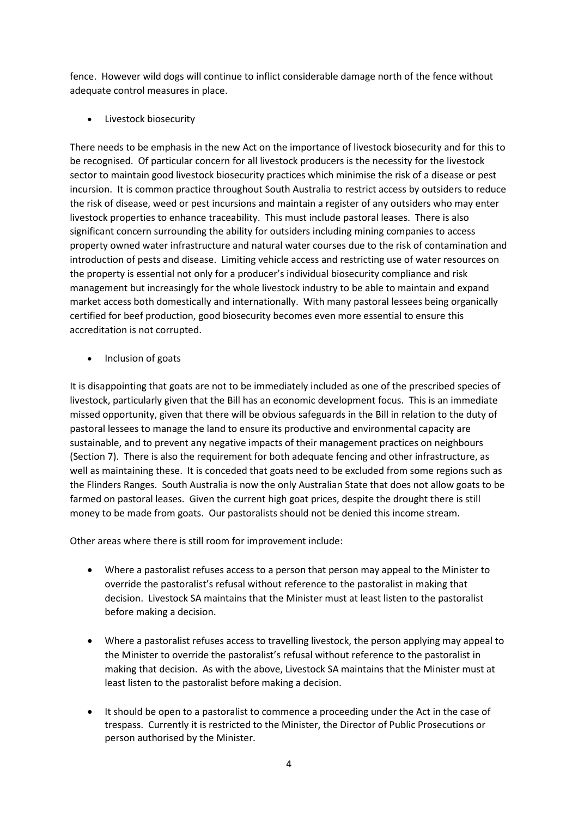fence. However wild dogs will continue to inflict considerable damage north of the fence without adequate control measures in place.

• Livestock biosecurity

There needs to be emphasis in the new Act on the importance of livestock biosecurity and for this to be recognised. Of particular concern for all livestock producers is the necessity for the livestock sector to maintain good livestock biosecurity practices which minimise the risk of a disease or pest incursion. It is common practice throughout South Australia to restrict access by outsiders to reduce the risk of disease, weed or pest incursions and maintain a register of any outsiders who may enter livestock properties to enhance traceability. This must include pastoral leases. There is also significant concern surrounding the ability for outsiders including mining companies to access property owned water infrastructure and natural water courses due to the risk of contamination and introduction of pests and disease. Limiting vehicle access and restricting use of water resources on the property is essential not only for a producer's individual biosecurity compliance and risk management but increasingly for the whole livestock industry to be able to maintain and expand market access both domestically and internationally. With many pastoral lessees being organically certified for beef production, good biosecurity becomes even more essential to ensure this accreditation is not corrupted.

• Inclusion of goats

It is disappointing that goats are not to be immediately included as one of the prescribed species of livestock, particularly given that the Bill has an economic development focus. This is an immediate missed opportunity, given that there will be obvious safeguards in the Bill in relation to the duty of pastoral lessees to manage the land to ensure its productive and environmental capacity are sustainable, and to prevent any negative impacts of their management practices on neighbours (Section 7). There is also the requirement for both adequate fencing and other infrastructure, as well as maintaining these. It is conceded that goats need to be excluded from some regions such as the Flinders Ranges. South Australia is now the only Australian State that does not allow goats to be farmed on pastoral leases. Given the current high goat prices, despite the drought there is still money to be made from goats. Our pastoralists should not be denied this income stream.

Other areas where there is still room for improvement include:

- Where a pastoralist refuses access to a person that person may appeal to the Minister to override the pastoralist's refusal without reference to the pastoralist in making that decision. Livestock SA maintains that the Minister must at least listen to the pastoralist before making a decision.
- Where a pastoralist refuses access to travelling livestock, the person applying may appeal to the Minister to override the pastoralist's refusal without reference to the pastoralist in making that decision. As with the above, Livestock SA maintains that the Minister must at least listen to the pastoralist before making a decision.
- It should be open to a pastoralist to commence a proceeding under the Act in the case of trespass. Currently it is restricted to the Minister, the Director of Public Prosecutions or person authorised by the Minister.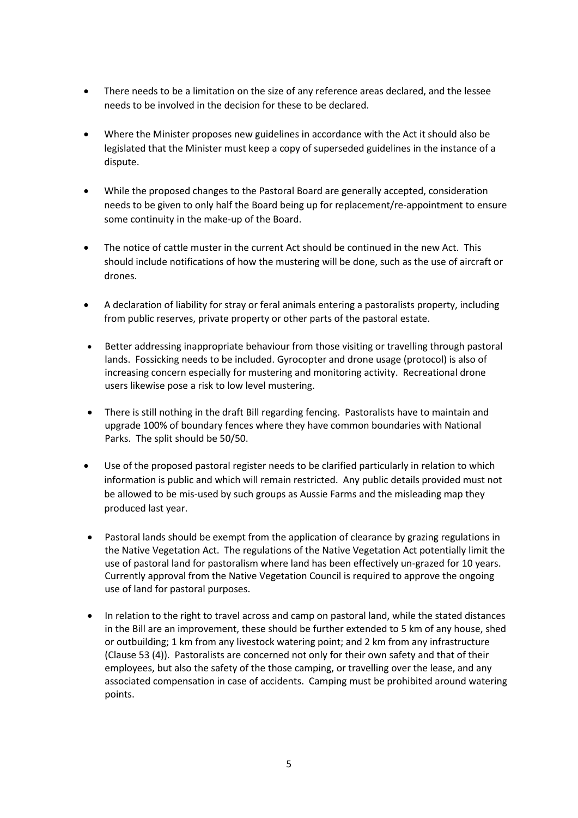- There needs to be a limitation on the size of any reference areas declared, and the lessee needs to be involved in the decision for these to be declared.
- Where the Minister proposes new guidelines in accordance with the Act it should also be legislated that the Minister must keep a copy of superseded guidelines in the instance of a dispute.
- While the proposed changes to the Pastoral Board are generally accepted, consideration needs to be given to only half the Board being up for replacement/re-appointment to ensure some continuity in the make-up of the Board.
- The notice of cattle muster in the current Act should be continued in the new Act. This should include notifications of how the mustering will be done, such as the use of aircraft or drones.
- A declaration of liability for stray or feral animals entering a pastoralists property, including from public reserves, private property or other parts of the pastoral estate.
- Better addressing inappropriate behaviour from those visiting or travelling through pastoral lands. Fossicking needs to be included. Gyrocopter and drone usage (protocol) is also of increasing concern especially for mustering and monitoring activity. Recreational drone users likewise pose a risk to low level mustering.
- There is still nothing in the draft Bill regarding fencing. Pastoralists have to maintain and upgrade 100% of boundary fences where they have common boundaries with National Parks. The split should be 50/50.
- Use of the proposed pastoral register needs to be clarified particularly in relation to which information is public and which will remain restricted. Any public details provided must not be allowed to be mis-used by such groups as Aussie Farms and the misleading map they produced last year.
- Pastoral lands should be exempt from the application of clearance by grazing regulations in the Native Vegetation Act. The regulations of the Native Vegetation Act potentially limit the use of pastoral land for pastoralism where land has been effectively un-grazed for 10 years. Currently approval from the Native Vegetation Council is required to approve the ongoing use of land for pastoral purposes.
- In relation to the right to travel across and camp on pastoral land, while the stated distances in the Bill are an improvement, these should be further extended to 5 km of any house, shed or outbuilding; 1 km from any livestock watering point; and 2 km from any infrastructure (Clause 53 (4)). Pastoralists are concerned not only for their own safety and that of their employees, but also the safety of the those camping, or travelling over the lease, and any associated compensation in case of accidents. Camping must be prohibited around watering points.